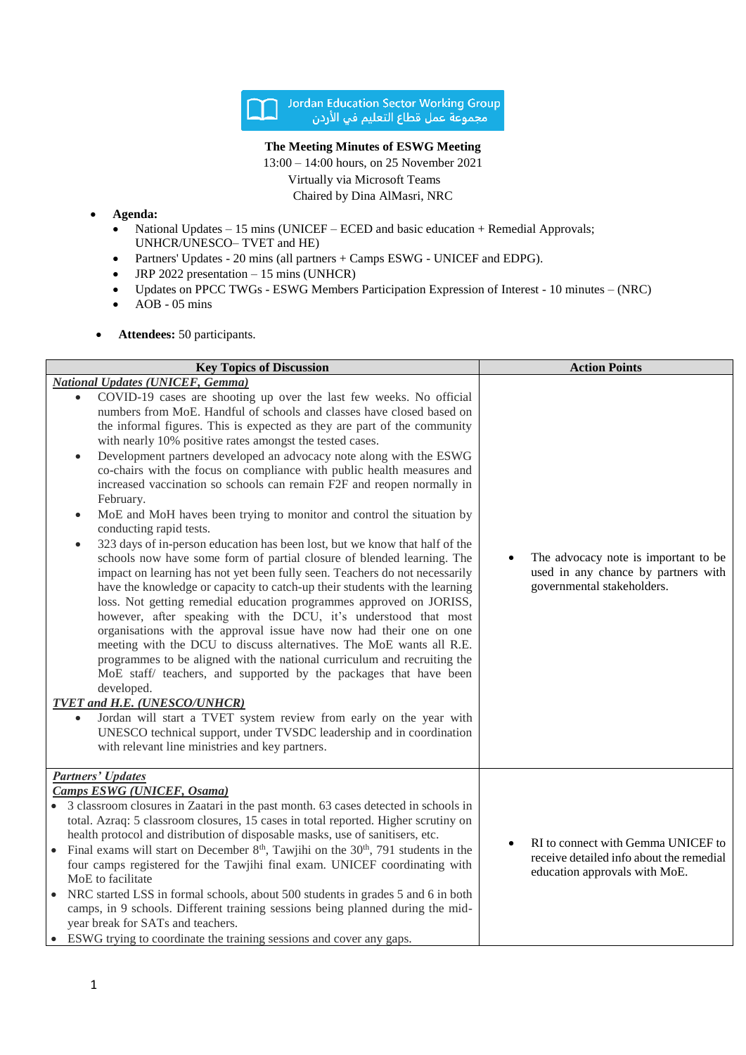

## **The Meeting Minutes of ESWG Meeting**

13:00 – 14:00 hours, on 25 November 2021

Virtually via Microsoft Teams

Chaired by Dina AlMasri, NRC

- **Agenda:**
	- National Updates 15 mins (UNICEF ECED and basic education + Remedial Approvals; UNHCR/UNESCO– TVET and HE)
	- Partners' Updates 20 mins (all partners + Camps ESWG UNICEF and EDPG).
	- JRP 2022 presentation  $-15$  mins (UNHCR)
	- Updates on PPCC TWGs ESWG Members Participation Expression of Interest 10 minutes (NRC)
	- $\bullet$  AOB 05 mins
- **Attendees:** 50 participants.

| <b>Key Topics of Discussion</b>                                                                                                                                                                                                                                                                                                                                                                                                                                                                                                                                                                                                                                                                                                                                                                                                                                                                                                                                                                                                                                                                                                                                                                                                                                                                                                                                                                                                                                                                                                                                                                                                                                                                                                                 | <b>Action Points</b>                                                                                            |
|-------------------------------------------------------------------------------------------------------------------------------------------------------------------------------------------------------------------------------------------------------------------------------------------------------------------------------------------------------------------------------------------------------------------------------------------------------------------------------------------------------------------------------------------------------------------------------------------------------------------------------------------------------------------------------------------------------------------------------------------------------------------------------------------------------------------------------------------------------------------------------------------------------------------------------------------------------------------------------------------------------------------------------------------------------------------------------------------------------------------------------------------------------------------------------------------------------------------------------------------------------------------------------------------------------------------------------------------------------------------------------------------------------------------------------------------------------------------------------------------------------------------------------------------------------------------------------------------------------------------------------------------------------------------------------------------------------------------------------------------------|-----------------------------------------------------------------------------------------------------------------|
| <b>National Updates (UNICEF, Gemma)</b><br>COVID-19 cases are shooting up over the last few weeks. No official<br>$\bullet$<br>numbers from MoE. Handful of schools and classes have closed based on<br>the informal figures. This is expected as they are part of the community<br>with nearly 10% positive rates amongst the tested cases.<br>Development partners developed an advocacy note along with the ESWG<br>$\bullet$<br>co-chairs with the focus on compliance with public health measures and<br>increased vaccination so schools can remain F2F and reopen normally in<br>February.<br>MoE and MoH haves been trying to monitor and control the situation by<br>conducting rapid tests.<br>323 days of in-person education has been lost, but we know that half of the<br>$\bullet$<br>schools now have some form of partial closure of blended learning. The<br>impact on learning has not yet been fully seen. Teachers do not necessarily<br>have the knowledge or capacity to catch-up their students with the learning<br>loss. Not getting remedial education programmes approved on JORISS,<br>however, after speaking with the DCU, it's understood that most<br>organisations with the approval issue have now had their one on one<br>meeting with the DCU to discuss alternatives. The MoE wants all R.E.<br>programmes to be aligned with the national curriculum and recruiting the<br>MoE staff/ teachers, and supported by the packages that have been<br>developed.<br>TVET and H.E. (UNESCO/UNHCR)<br>Jordan will start a TVET system review from early on the year with<br>$\bullet$<br>UNESCO technical support, under TVSDC leadership and in coordination<br>with relevant line ministries and key partners. | The advocacy note is important to be<br>used in any chance by partners with<br>governmental stakeholders.       |
| <b>Partners' Updates</b><br><b>Camps ESWG (UNICEF, Osama)</b><br>3 classroom closures in Zaatari in the past month. 63 cases detected in schools in<br>total. Azraq: 5 classroom closures, 15 cases in total reported. Higher scrutiny on<br>health protocol and distribution of disposable masks, use of sanitisers, etc.<br>Final exams will start on December $8th$ , Tawjihi on the $30th$ , 791 students in the<br>$\bullet$<br>four camps registered for the Tawjihi final exam. UNICEF coordinating with<br>MoE to facilitate<br>• NRC started LSS in formal schools, about 500 students in grades 5 and 6 in both<br>camps, in 9 schools. Different training sessions being planned during the mid-<br>year break for SATs and teachers.<br>• ESWG trying to coordinate the training sessions and cover any gaps.                                                                                                                                                                                                                                                                                                                                                                                                                                                                                                                                                                                                                                                                                                                                                                                                                                                                                                                       | RI to connect with Gemma UNICEF to<br>receive detailed info about the remedial<br>education approvals with MoE. |